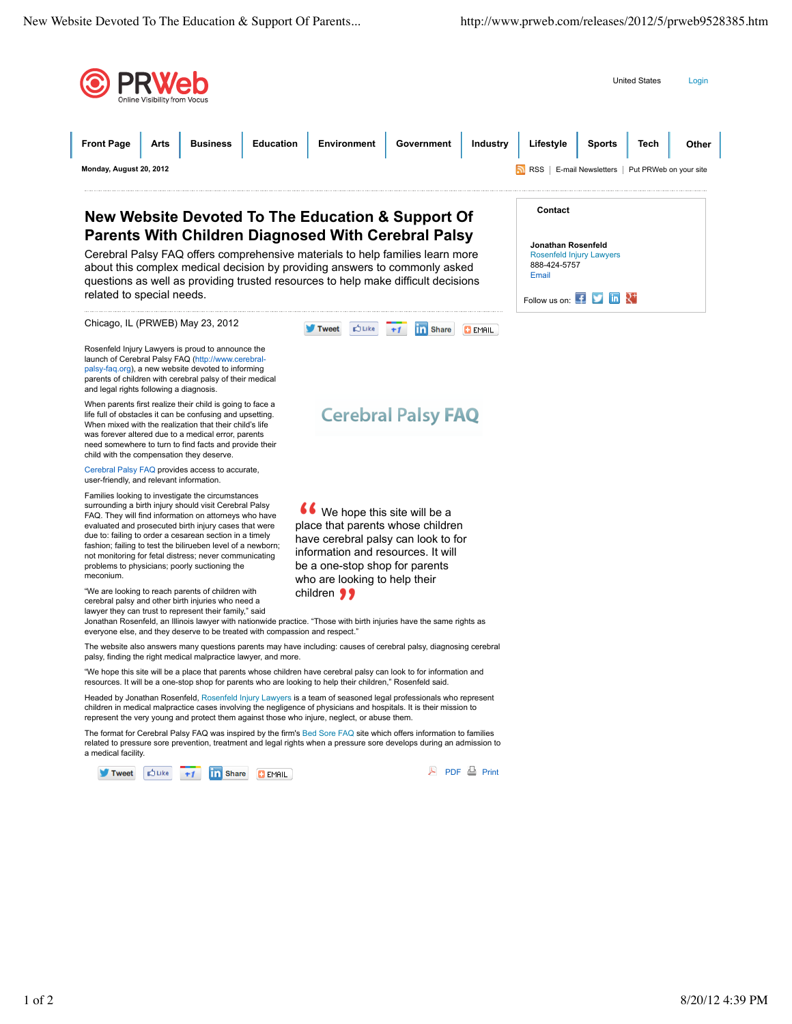

We hope this site will be a place that parents whose children have cerebral palsy can look to for information and resources. It will be a one-stop shop for parents who are looking to help their

**Duke** 

 $+1$ 

**Cerebral Palsy FAQ** 

Tweet

Cerebral Palsy FAQ offers comprehensive materials to help families learn m about this complex medical decision by providing answers to commonly asked questions as well as providing trusted resources to help make difficult decisi related to special needs.

| pport Of                                                    | Contact                                                                        |
|-------------------------------------------------------------|--------------------------------------------------------------------------------|
| ral Palsy<br>es learn more<br>monly asked<br>cult decisions | Jonathan Rosenfeld<br><b>Rosenfeld Injury Lawyers</b><br>888-424-5757<br>Email |
|                                                             | Follow us on: $\mathbf{f}$ $\mathbf{v}$ in $\mathbf{R}^+$                      |
| Share<br>EMAIL                                              |                                                                                |

Rosenfeld Injury Lawyers is proud to announce the launch of Cerebral Palsy FAQ (http://www.cerebralpalsy-faq.org), a new website devoted to informing parents of children with cerebral palsy of their medical and legal rights following a diagnosis.

Chicago, IL (PRWEB) May 23, 2012

When parents first realize their child is going to face a life full of obstacles it can be confusing and upsetting. When mixed with the realization that their child's life was forever altered due to a medical error, parents need somewhere to turn to find facts and provide their child with the compensation they deserve.

Cerebral Palsy FAQ provides access to accurate, user-friendly, and relevant information.

Families looking to investigate the circumstances surrounding a birth injury should visit Cerebral Palsy FAQ. They will find information on attorneys who have evaluated and prosecuted birth injury cases that were due to: failing to order a cesarean section in a timely fashion; failing to test the bilirueben level of a newborn; not monitoring for fetal distress; never communicating problems to physicians; poorly suctioning the meconium.

"We are looking to reach parents of children with cerebral palsy and other birth injuries who need a lawyer they can trust to represent their family," said

Jonathan Rosenfeld, an Illinois lawyer with nationwide practice. "Those with birth injuries have the same rights as everyone else, and they deserve to be treated with compassion and respect."

The website also answers many questions parents may have including: causes of cerebral palsy, diagnosing cerebral palsy, finding the right medical malpractice lawyer, and more.

children 99

"We hope this site will be a place that parents whose children have cerebral palsy can look to for information and resources. It will be a one-stop shop for parents who are looking to help their children," Rosenfeld said.

Headed by Jonathan Rosenfeld, Rosenfeld Injury Lawyers is a team of seasoned legal professionals who represent children in medical malpractice cases involving the negligence of physicians and hospitals. It is their mission to represent the very young and protect them against those who injure, neglect, or abuse them.

The format for Cerebral Palsy FAQ was inspired by the firm's Bed Sore FAQ site which offers information to families related to pressure sore prevention, treatment and legal rights when a pressure sore develops during an admission to a medical facility.

**COLIKe** Tweet  $+1$ **Th** Share **C** EMAIL **PDF & Print**